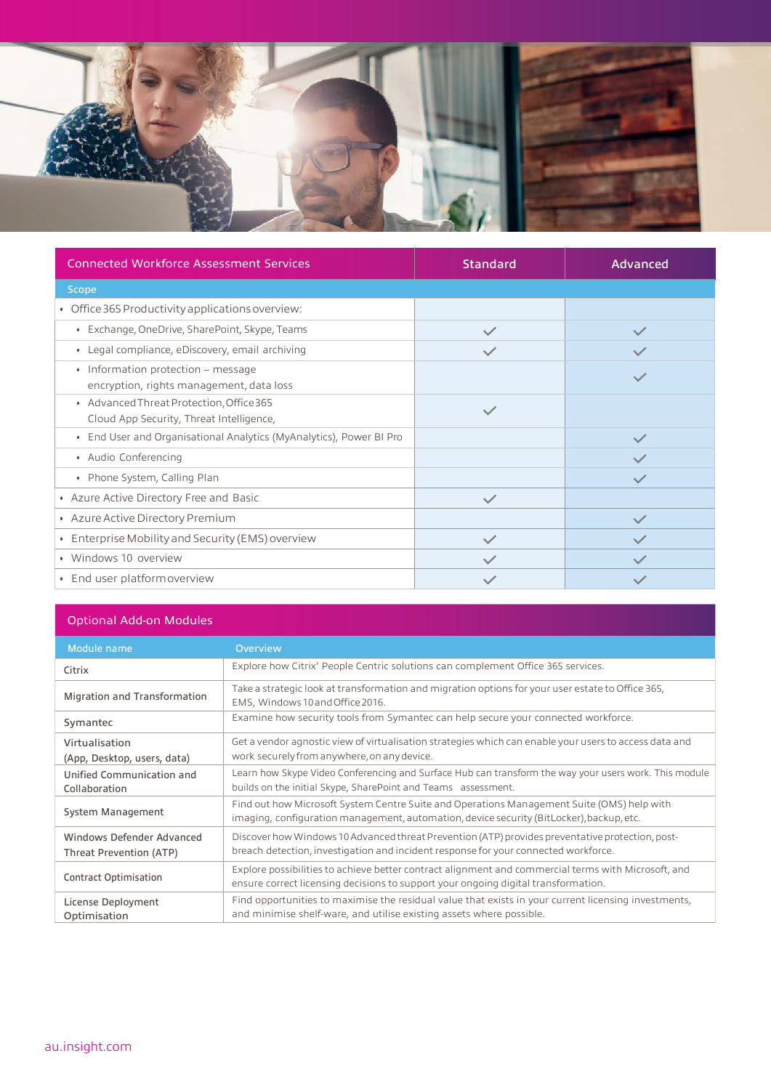

| <b>Connected Workforce Assessment Services</b>                                       | <b>Standard</b> | Advanced     |
|--------------------------------------------------------------------------------------|-----------------|--------------|
| <b>Scope</b>                                                                         |                 |              |
| • Office 365 Productivity applications overview:                                     |                 |              |
| • Exchange, OneDrive, SharePoint, Skype, Teams                                       | $\checkmark$    | $\checkmark$ |
| • Legal compliance, eDiscovery, email archiving                                      |                 |              |
| • Information protection – message<br>encryption, rights management, data loss       |                 | $\checkmark$ |
| • Advanced Threat Protection, Office 365<br>Cloud App Security, Threat Intelligence, | $\checkmark$    |              |
| • End User and Organisational Analytics (MyAnalytics), Power BI Pro                  |                 | $\checkmark$ |
| • Audio Conferencing                                                                 |                 | $\checkmark$ |
| • Phone System, Calling Plan                                                         |                 | $\checkmark$ |
| • Azure Active Directory Free and Basic                                              | $\checkmark$    |              |
| • Azure Active Directory Premium                                                     |                 | $\checkmark$ |
| • Enterprise Mobility and Security (EMS) overview                                    | $\checkmark$    | $\checkmark$ |
| • Windows 10 overview                                                                |                 | $\checkmark$ |
| • End user platform overview                                                         |                 |              |

## Optional Add-on Modules

| Module name                                          | <b>Overview</b>                                                                                                                                                                           |
|------------------------------------------------------|-------------------------------------------------------------------------------------------------------------------------------------------------------------------------------------------|
| Citrix                                               | Explore how Citrix' People Centric solutions can complement Office 365 services.                                                                                                          |
| <b>Migration and Transformation</b>                  | Take a strategic look at transformation and migration options for your user estate to Office 365,<br>EMS, Windows 10 and Office 2016.                                                     |
| Symantec                                             | Examine how security tools from Symantec can help secure your connected workforce.                                                                                                        |
| Virtualisation<br>(App, Desktop, users, data)        | Get a vendor agnostic view of virtualisation strategies which can enable your users to access data and<br>work securely from anywhere, on any device.                                     |
| Unified Communication and<br>Collaboration           | Learn how Skype Video Conferencing and Surface Hub can transform the way your users work. This module<br>builds on the initial Skype, SharePoint and Teams assessment.                    |
| System Management                                    | Find out how Microsoft System Centre Suite and Operations Management Suite (OMS) help with<br>imaging, configuration management, automation, device security (BitLocker), backup, etc.    |
| Windows Defender Advanced<br>Threat Prevention (ATP) | Discover how Windows 10 Advanced threat Prevention (ATP) provides preventative protection, post-<br>breach detection, investigation and incident response for your connected workforce.   |
| <b>Contract Optimisation</b>                         | Explore possibilities to achieve better contract alignment and commercial terms with Microsoft, and<br>ensure correct licensing decisions to support your ongoing digital transformation. |
| License Deployment<br>Optimisation                   | Find opportunities to maximise the residual value that exists in your current licensing investments,<br>and minimise shelf-ware, and utilise existing assets where possible.              |